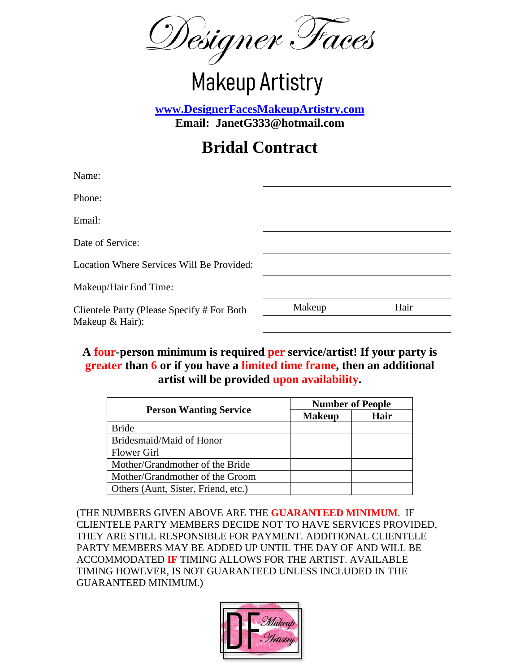Designer Faces

# **Makeup Artistry**

**[www.DesignerFacesMakeupArtistry.com](http://www.designerfacesmakeupartistry.com/) Email: JanetG333@hotmail.com**

# **Bridal Contract**

| Makeup | Hair |
|--------|------|
|        |      |
|        |      |

**A four-person minimum is required per service/artist! If your party is greater than 6 or if you have a limited time frame, then an additional artist will be provided upon availability.**

|                                     | <b>Number of People</b> |      |
|-------------------------------------|-------------------------|------|
| <b>Person Wanting Service</b>       | <b>Makeup</b>           | Hair |
| <b>Bride</b>                        |                         |      |
| Bridesmaid/Maid of Honor            |                         |      |
| <b>Flower Girl</b>                  |                         |      |
| Mother/Grandmother of the Bride     |                         |      |
| Mother/Grandmother of the Groom     |                         |      |
| Others (Aunt, Sister, Friend, etc.) |                         |      |

(THE NUMBERS GIVEN ABOVE ARE THE **GUARANTEED MINIMUM**. IF CLIENTELE PARTY MEMBERS DECIDE NOT TO HAVE SERVICES PROVIDED, THEY ARE STILL RESPONSIBLE FOR PAYMENT. ADDITIONAL CLIENTELE PARTY MEMBERS MAY BE ADDED UP UNTIL THE DAY OF AND WILL BE ACCOMMODATED **IF** TIMING ALLOWS FOR THE ARTIST. AVAILABLE TIMING HOWEVER, IS NOT GUARANTEED UNLESS INCLUDED IN THE GUARANTEED MINIMUM.)

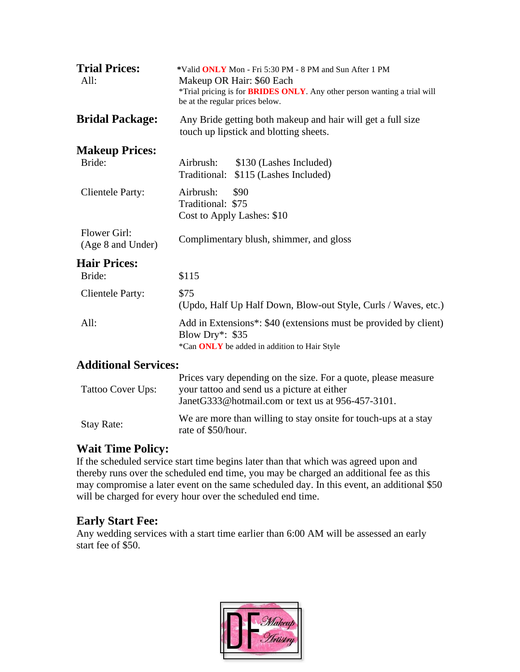| <b>Trial Prices:</b><br>All:      | *Valid ONLY Mon - Fri 5:30 PM - 8 PM and Sun After 1 PM<br>Makeup OR Hair: \$60 Each<br>*Trial pricing is for <b>BRIDES ONLY</b> . Any other person wanting a trial will<br>be at the regular prices below. |
|-----------------------------------|-------------------------------------------------------------------------------------------------------------------------------------------------------------------------------------------------------------|
| <b>Bridal Package:</b>            | Any Bride getting both makeup and hair will get a full size<br>touch up lipstick and blotting sheets.                                                                                                       |
| <b>Makeup Prices:</b>             |                                                                                                                                                                                                             |
| Bride:                            | Airbrush:<br>\$130 (Lashes Included)<br>Traditional:<br>\$115 (Lashes Included)                                                                                                                             |
| <b>Clientele Party:</b>           | Airbrush:<br>\$90<br>Traditional: \$75<br>Cost to Apply Lashes: \$10                                                                                                                                        |
| Flower Girl:<br>(Age 8 and Under) | Complimentary blush, shimmer, and gloss                                                                                                                                                                     |
| <b>Hair Prices:</b>               |                                                                                                                                                                                                             |
| Bride:                            | \$115                                                                                                                                                                                                       |
| <b>Clientele Party:</b>           | \$75<br>(Updo, Half Up Half Down, Blow-out Style, Curls / Waves, etc.)                                                                                                                                      |
| All:                              | Add in Extensions*: \$40 (extensions must be provided by client)<br>Blow Dry*: \$35<br>*Can ONLY be added in addition to Hair Style                                                                         |
| <b>Additional Services:</b>       |                                                                                                                                                                                                             |
|                                   | Prices vary depending on the size. For a quote, please measure                                                                                                                                              |

#### Tattoo Cover Ups: your tattoo and send us a picture at either JanetG333@hotmail.com or text us at 956-457-3101. Stay Rate:<br>We are more than willing to stay onsite for touch-ups at a stay rate of \$50/hour.

# **Wait Time Policy:**

If the scheduled service start time begins later than that which was agreed upon and thereby runs over the scheduled end time, you may be charged an additional fee as this may compromise a later event on the same scheduled day. In this event, an additional \$50 will be charged for every hour over the scheduled end time.

# **Early Start Fee:**

Any wedding services with a start time earlier than 6:00 AM will be assessed an early start fee of \$50.

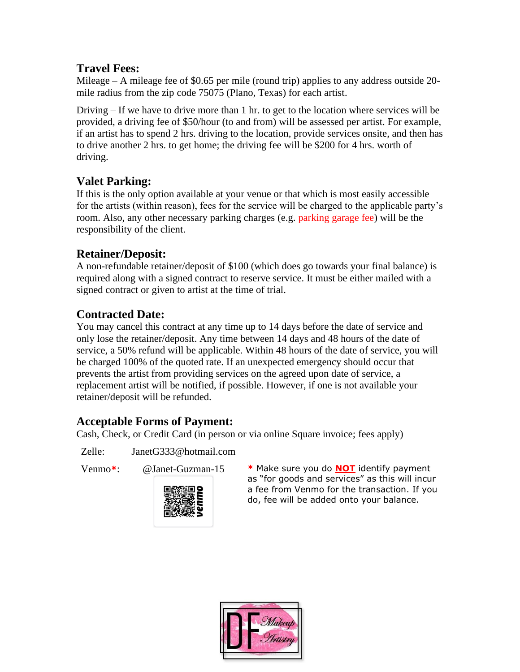#### **Travel Fees:**

Mileage – A mileage fee of \$0.65 per mile (round trip) applies to any address outside 20 mile radius from the zip code 75075 (Plano, Texas) for each artist.

Driving – If we have to drive more than 1 hr. to get to the location where services will be provided, a driving fee of \$50/hour (to and from) will be assessed per artist. For example, if an artist has to spend 2 hrs. driving to the location, provide services onsite, and then has to drive another 2 hrs. to get home; the driving fee will be \$200 for 4 hrs. worth of driving.

# **Valet Parking:**

If this is the only option available at your venue or that which is most easily accessible for the artists (within reason), fees for the service will be charged to the applicable party's room. Also, any other necessary parking charges (e.g. parking garage fee) will be the responsibility of the client.

## **Retainer/Deposit:**

A non-refundable retainer/deposit of \$100 (which does go towards your final balance) is required along with a signed contract to reserve service. It must be either mailed with a signed contract or given to artist at the time of trial.

# **Contracted Date:**

You may cancel this contract at any time up to 14 days before the date of service and only lose the retainer/deposit. Any time between 14 days and 48 hours of the date of service, a 50% refund will be applicable. Within 48 hours of the date of service, you will be charged 100% of the quoted rate. If an unexpected emergency should occur that prevents the artist from providing services on the agreed upon date of service, a replacement artist will be notified, if possible. However, if one is not available your retainer/deposit will be refunded.

## **Acceptable Forms of Payment:**

Cash, Check, or Credit Card (in person or via online Square invoice; fees apply)

Zelle: JanetG333@hotmail.com





Venmo**\***: @Janet-Guzman-15 **\*** Make sure you do **NOT** identify payment as "for goods and services" as this will incur a fee from Venmo for the transaction. If you do, fee will be added onto your balance.